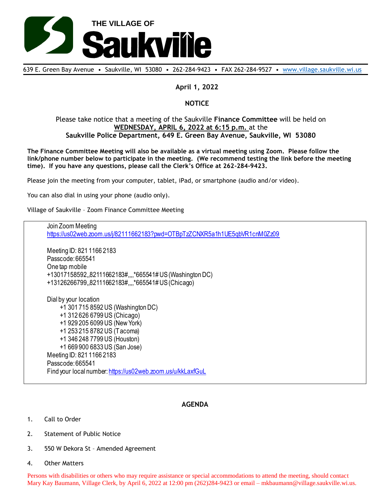

639 E. Green Bay Avenue • Saukville, WI 53080 • 262-284-9423 • FAX 262-284-9527 • [www.village.saukville.wi.us](http://www.village.saukville.wi.us/)

## **April 1, 2022**

# **NOTICE**

### Please take notice that a meeting of the Saukville **Finance Committee** will be held on **WEDNESDAY, APRIL 6, 2022 at 6:15 p.m.** at the **Saukville Police Department, 649 E. Green Bay Avenue, Saukville, WI 53080**

**The Finance Committee Meeting will also be available as a virtual meeting using Zoom. Please follow the link/phone number below to participate in the meeting. (We recommend testing the link before the meeting time). If you have any questions, please call the Clerk's Office at 262-284-9423.**

Please join the meeting from your computer, tablet, iPad, or smartphone (audio and/or video).

You can also dial in using your phone (audio only).

Village of Saukville – Zoom Finance Committee Meeting

Join Zoom Meeting https://us02web.zoom.us/j/82111662183?pwd=OTBpTzZCNXR5a1h1UE5qbVR1cnM0Zz09 Meeting ID: 821 1166 2183 Passcode: 665541 One tap mobile +13017158592,,82111662183#,,,,\*665541# US (Washington DC) +13126266799,,82111662183#,,,,\*665541# US (Chicago) Dial by your location +1 301 715 8592 US (Washington DC) +1 312 626 6799 US (Chicago) +1 929 205 6099 US (New York) +1 253 215 8782 US (Tacoma) +1 346 248 7799 US (Houston) +1 669 900 6833 US (San Jose) Meeting ID: 821 1166 2183 Passcode: 665541 Find your local number: https://us02web.zoom.us/u/kkLaxfGuL

## **AGENDA**

- 1. Call to Order
- 2. Statement of Public Notice
- 3. 550 W Dekora St Amended Agreement
- 4. Other Matters

Persons with disabilities or others who may require assistance or special accommodations to attend the meeting, should contact Mary Kay Baumann, Village Clerk, by April 6, 2022 at 12:00 pm (262)284-9423 or email – mkbaumann@village.saukville.wi.us.